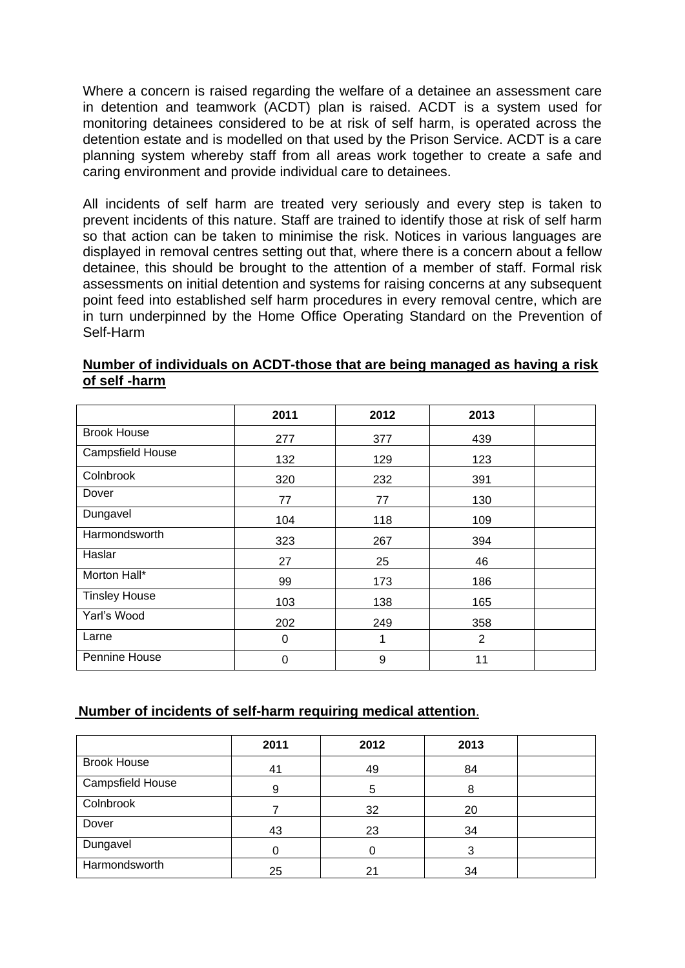Where a concern is raised regarding the welfare of a detainee an assessment care in detention and teamwork (ACDT) plan is raised. ACDT is a system used for monitoring detainees considered to be at risk of self harm, is operated across the detention estate and is modelled on that used by the Prison Service. ACDT is a care planning system whereby staff from all areas work together to create a safe and caring environment and provide individual care to detainees.

All incidents of self harm are treated very seriously and every step is taken to prevent incidents of this nature. Staff are trained to identify those at risk of self harm so that action can be taken to minimise the risk. Notices in various languages are displayed in removal centres setting out that, where there is a concern about a fellow detainee, this should be brought to the attention of a member of staff. Formal risk assessments on initial detention and systems for raising concerns at any subsequent point feed into established self harm procedures in every removal centre, which are in turn underpinned by the Home Office Operating Standard on the Prevention of Self-Harm

|                      | 2011 | 2012 | 2013           |  |
|----------------------|------|------|----------------|--|
| <b>Brook House</b>   | 277  | 377  | 439            |  |
| Campsfield House     | 132  | 129  | 123            |  |
| Colnbrook            | 320  | 232  | 391            |  |
| Dover                | 77   | 77   | 130            |  |
| Dungavel             | 104  | 118  | 109            |  |
| Harmondsworth        | 323  | 267  | 394            |  |
| Haslar               | 27   | 25   | 46             |  |
| Morton Hall*         | 99   | 173  | 186            |  |
| <b>Tinsley House</b> | 103  | 138  | 165            |  |
| Yarl's Wood          | 202  | 249  | 358            |  |
| Larne                | 0    | 1    | $\overline{2}$ |  |
| Pennine House        | 0    | 9    | 11             |  |

## **Number of individuals on ACDT-those that are being managed as having a risk of self -harm**

## **Number of incidents of self-harm requiring medical attention**.

|                    | 2011 | 2012           | 2013 |  |
|--------------------|------|----------------|------|--|
| <b>Brook House</b> | 41   | 49             | 84   |  |
| Campsfield House   | 9    | 5              | 8    |  |
| Colnbrook          |      | 32             | 20   |  |
| Dover              | 43   | 23             | 34   |  |
| Dungavel           |      | C              | ົ    |  |
| Harmondsworth      | 25   | 2 <sup>1</sup> | 34   |  |